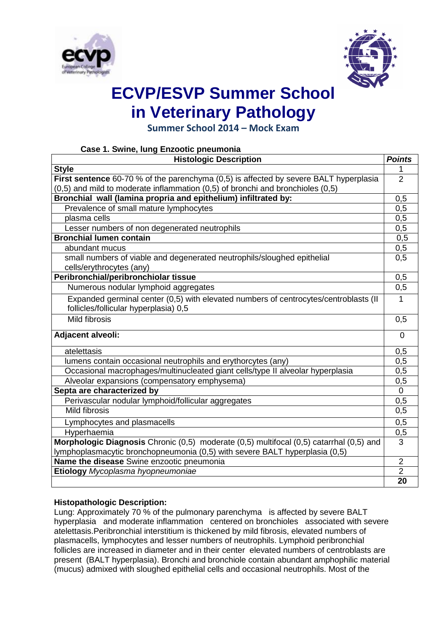



# **ECVP/ESVP Summer School in Veterinary Pathology**

**Summer School 2014 – Mock Exam**

| Case 1. Swine, lung Enzootic pneumonia                                                  |                  |
|-----------------------------------------------------------------------------------------|------------------|
| <b>Histologic Description</b>                                                           | <b>Points</b>    |
| <b>Style</b>                                                                            |                  |
| First sentence 60-70 % of the parenchyma (0,5) is affected by severe BALT hyperplasia   | $\overline{2}$   |
| $(0,5)$ and mild to moderate inflammation $(0,5)$ of bronchi and bronchioles $(0,5)$    |                  |
| Bronchial wall (lamina propria and epithelium) infiltrated by:                          | 0,5              |
| Prevalence of small mature lymphocytes                                                  | 0,5              |
| plasma cells                                                                            | $\overline{0,5}$ |
| Lesser numbers of non degenerated neutrophils                                           | 0,5              |
| <b>Bronchial lumen contain</b>                                                          | 0,5              |
| abundant mucus                                                                          | 0,5              |
| small numbers of viable and degenerated neutrophils/sloughed epithelial                 | 0,5              |
| cells/erythrocytes (any)                                                                |                  |
| Peribronchial/peribronchiolar tissue                                                    | 0,5              |
| Numerous nodular lymphoid aggregates                                                    | 0,5              |
| Expanded germinal center (0,5) with elevated numbers of centrocytes/centroblasts (II    | 1                |
| follicles/follicular hyperplasia) 0,5                                                   |                  |
| <b>Mild fibrosis</b>                                                                    | 0,5              |
| Adjacent alveoli:                                                                       | $\overline{0}$   |
| atelettasis                                                                             | 0,5              |
| lumens contain occasional neutrophils and erythorcytes (any)                            | 0,5              |
| Occasional macrophages/multinucleated giant cells/type II alveolar hyperplasia          | 0,5              |
| Alveolar expansions (compensatory emphysema)                                            | 0,5              |
| Septa are characterized by                                                              | $\overline{0}$   |
| Perivascular nodular lymphoid/follicular aggregates                                     | 0,5              |
| <b>Mild fibrosis</b>                                                                    | 0,5              |
| Lymphocytes and plasmacells                                                             | 0,5              |
| Hyperhaemia                                                                             | 0,5              |
| Morphologic Diagnosis Chronic (0,5) moderate (0,5) multifocal (0,5) catarrhal (0,5) and | 3                |
| lymphoplasmacytic bronchopneumonia (0,5) with severe BALT hyperplasia (0,5)             |                  |
| Name the disease Swine enzootic pneumonia                                               | $\overline{2}$   |
| Etiology Mycoplasma hyopneumoniae                                                       | $\overline{2}$   |
|                                                                                         | 20               |

### **Histopathologic Description:**

Lung: Approximately 70 % of the pulmonary parenchyma is affected by severe BALT hyperplasia and moderate inflammation centered on bronchioles associated with severe atelettasis.Peribronchial interstitium is thickened by mild fibrosis, elevated numbers of plasmacells, lymphocytes and lesser numbers of neutrophils. Lymphoid peribronchial follicles are increased in diameter and in their center elevated numbers of centroblasts are present (BALT hyperplasia). Bronchi and bronchiole contain abundant amphophilic material (mucus) admixed with sloughed epithelial cells and occasional neutrophils. Most of the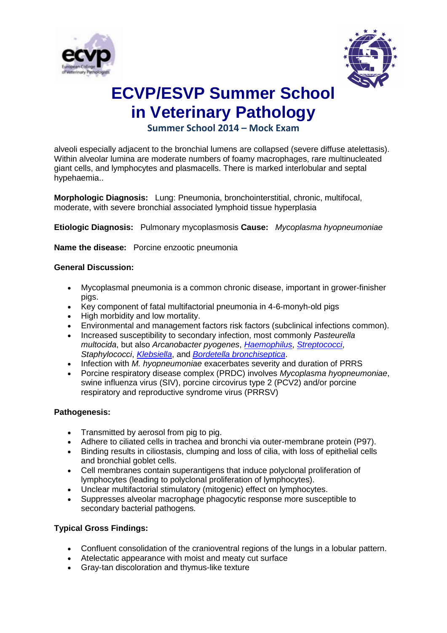



## **ECVP/ESVP Summer School in Veterinary Pathology**

## **Summer School 2014 – Mock Exam**

alveoli especially adjacent to the bronchial lumens are collapsed (severe diffuse atelettasis). Within alveolar lumina are moderate numbers of foamy macrophages, rare multinucleated giant cells, and lymphocytes and plasmacells. There is marked interlobular and septal hypehaemia..

**Morphologic Diagnosis:** Lung: Pneumonia, bronchointerstitial, chronic, multifocal, moderate, with severe bronchial associated lymphoid tissue hyperplasia

**Etiologic Diagnosis:** Pulmonary mycoplasmosis **Cause:** *Mycoplasma hyopneumoniae*

**Name the disease:** Porcine enzootic pneumonia

#### **General Discussion:**

- Mycoplasmal pneumonia is a common chronic disease, important in grower-finisher pigs.
- Key component of fatal multifactorial pneumonia in 4-6-monyh-old pigs
- High morbidity and low mortality.
- Environmental and management factors risk factors (subclinical infections common).
- Increased susceptibility to secondary infection, most commonly *Pasteurella multocida*, but also *Arcanobacter pyogenes*, *[Haemophilus](https://www.askjpc.org/vspo/show_page.php?id=486)*, *[Streptococci](https://www.askjpc.org/vspo/show_page.php?id=545)*, *Staphylococci*, *[Klebsiella](https://www.askjpc.org/vspo/show_page.php?id=551)*, and *[Bordetella bronchiseptica](https://www.askjpc.org/vspo/show_page.php?id=547)*.
- Infection with *M. hyopneumoniae* exacerbates severity and duration of PRRS
- Porcine respiratory disease complex (PRDC) involves *Mycoplasma hyopneumoniae*, swine influenza virus (SIV), porcine circovirus type 2 (PCV2) and/or porcine respiratory and reproductive syndrome virus (PRRSV)

#### **Pathogenesis:**

- Transmitted by aerosol from pig to pig.
- Adhere to ciliated cells in trachea and bronchi via outer-membrane protein (P97).
- Binding results in ciliostasis, clumping and loss of cilia, with loss of epithelial cells and bronchial goblet cells.
- Cell membranes contain superantigens that induce polyclonal proliferation of lymphocytes (leading to polyclonal proliferation of lymphocytes).
- Unclear multifactorial stimulatory (mitogenic) effect on lymphocytes.
- Suppresses alveolar macrophage phagocytic response more susceptible to secondary bacterial pathogens.

#### **Typical Gross Findings:**

- Confluent consolidation of the cranioventral regions of the lungs in a lobular pattern.
- Atelectatic appearance with moist and meaty cut surface
- Gray-tan discoloration and thymus-like texture